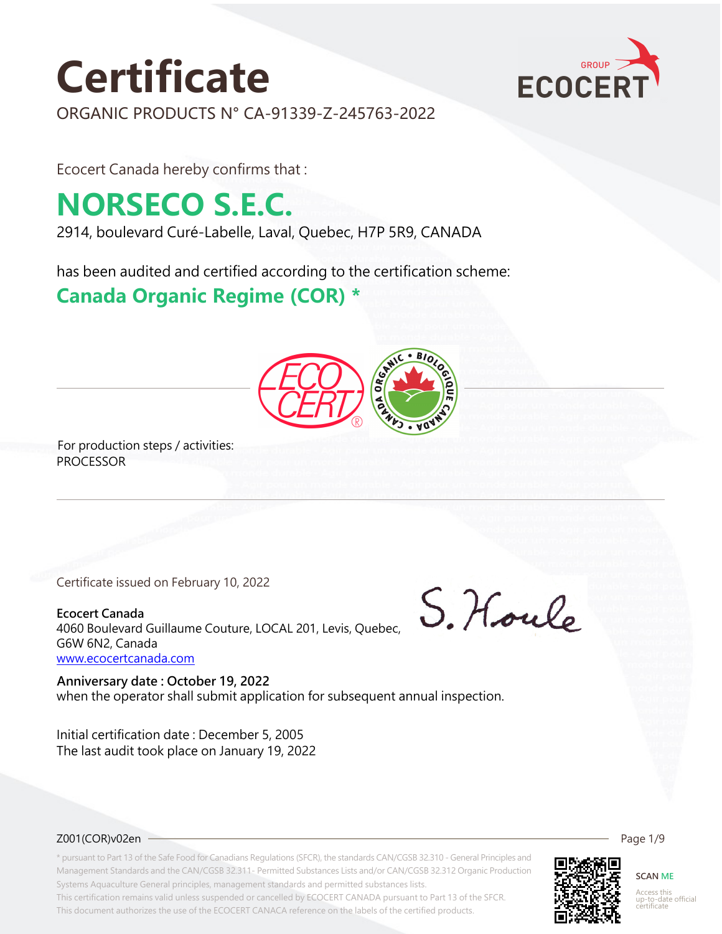# **Certificate**



ORGANIC PRODUCTS N° CA-91339-Z-245763-2022

Ecocert Canada hereby confirms that :

## **NORSECO S.E.C.**

2914, boulevard Curé-Labelle, Laval, Quebec, H7P 5R9, CANADA

has been audited and certified according to the certification scheme:

### **Canada Organic Regime (COR) \***



For production steps / activities: PROCESSOR

Certificate issued on February 10, 2022

**Ecocert Canada** 4060 Boulevard Guillaume Couture, LOCAL 201, Levis, Quebec, G6W 6N2, Canada <www.ecocertcanada.com>

when the operator shall submit application for subsequent annual inspection. **Anniversary date : October 19, 2022**

The last audit took place on January 19, 2022 Initial certification date : December 5, 2005

S. Hould

#### Z001(COR)v02en

\* pursuant to Part 13 of the Safe Food for Canadians Regulations (SFCR), the standards CAN/CGSB 32.310 - General Principles and Management Standards and the CAN/CGSB 32.311- Permitted Substances Lists and/or CAN/CGSB 32.312 Organic Production Systems Aquaculture General principles, management standards and permitted substances lists.

This certification remains valid unless suspended or cancelled by ECOCERT CANADA pursuant to Part 13 of the SFCR. This document authorizes the use of the ECOCERT CANACA reference on the labels of the certified products.



**SCAN ME**

Page 1/9

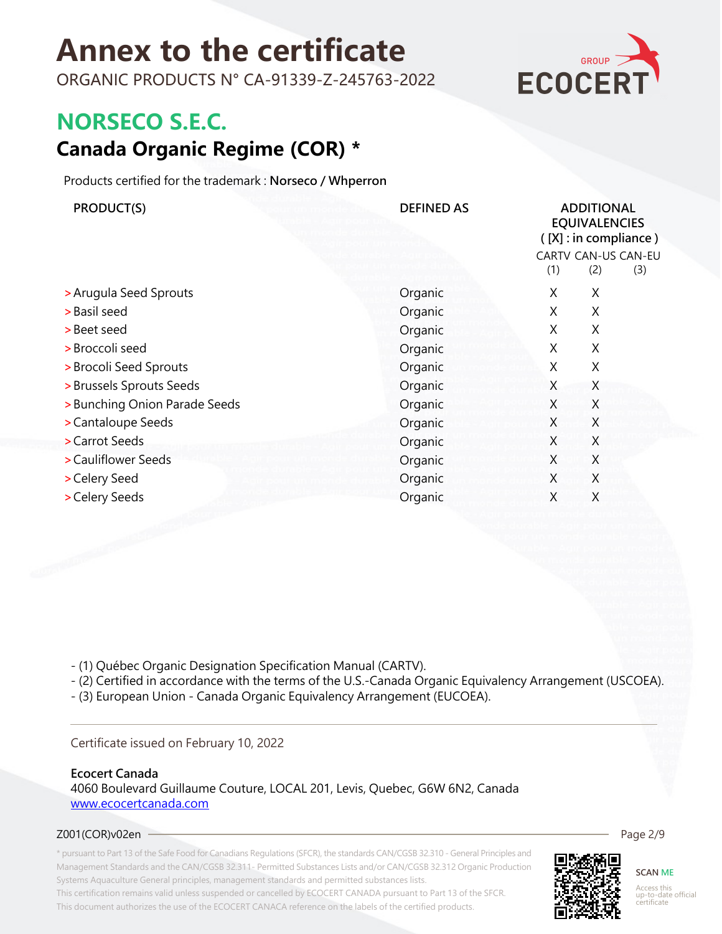ORGANIC PRODUCTS N° CA-91339-Z-245763-2022



### **NORSECO S.E.C.**

### **Canada Organic Regime (COR) \***

Products certified for the trademark : **Norseco / Whperron**

| PRODUCT(S)                    | <b>DEFINED AS</b> | <b>ADDITIONAL</b><br><b>EQUIVALENCIES</b><br>([X]: in compliance)<br>CARTV CAN-US CAN-EU<br>(1)<br>(2)<br>(3) |   |  |
|-------------------------------|-------------------|---------------------------------------------------------------------------------------------------------------|---|--|
| > Arugula Seed Sprouts        | Organic           | X                                                                                                             | X |  |
| > Basil seed                  | Organic           | X                                                                                                             | X |  |
| > Beet seed                   | Organic           | X                                                                                                             | X |  |
| > Broccoli seed               | Organic           | X                                                                                                             | X |  |
| > Brocoli Seed Sprouts        | Organic           | X                                                                                                             | X |  |
| > Brussels Sprouts Seeds      | Organic           | X                                                                                                             | X |  |
| > Bunching Onion Parade Seeds | Organic           | X                                                                                                             | X |  |
| > Cantaloupe Seeds            | Organic           | X                                                                                                             | X |  |
| > Carrot Seeds                | Organic           | X                                                                                                             | X |  |
| > Cauliflower Seeds           | Organic           | X                                                                                                             | X |  |
| > Celery Seed                 | Organic           | X                                                                                                             | X |  |
| > Celery Seeds                | Organic           | X                                                                                                             | X |  |

- (1) Québec Organic Designation Specification Manual (CARTV).

- (2) Certified in accordance with the terms of the U.S.-Canada Organic Equivalency Arrangement (USCOEA).

- (3) European Union - Canada Organic Equivalency Arrangement (EUCOEA).

#### Certificate issued on February 10, 2022

#### **Ecocert Canada**

4060 Boulevard Guillaume Couture, LOCAL 201, Levis, Quebec, G6W 6N2, Canada <www.ecocertcanada.com>

#### Z001(COR)v02en

\* pursuant to Part 13 of the Safe Food for Canadians Regulations (SFCR), the standards CAN/CGSB 32.310 - General Principles and Management Standards and the CAN/CGSB 32.311- Permitted Substances Lists and/or CAN/CGSB 32.312 Organic Production Systems Aquaculture General principles, management standards and permitted substances lists. This certification remains valid unless suspended or cancelled by ECOCERT CANADA pursuant to Part 13 of the SFCR. This document authorizes the use of the ECOCERT CANACA reference on the labels of the certified products.



**SCAN ME** Access this up-to-date official certificate

Page 2/9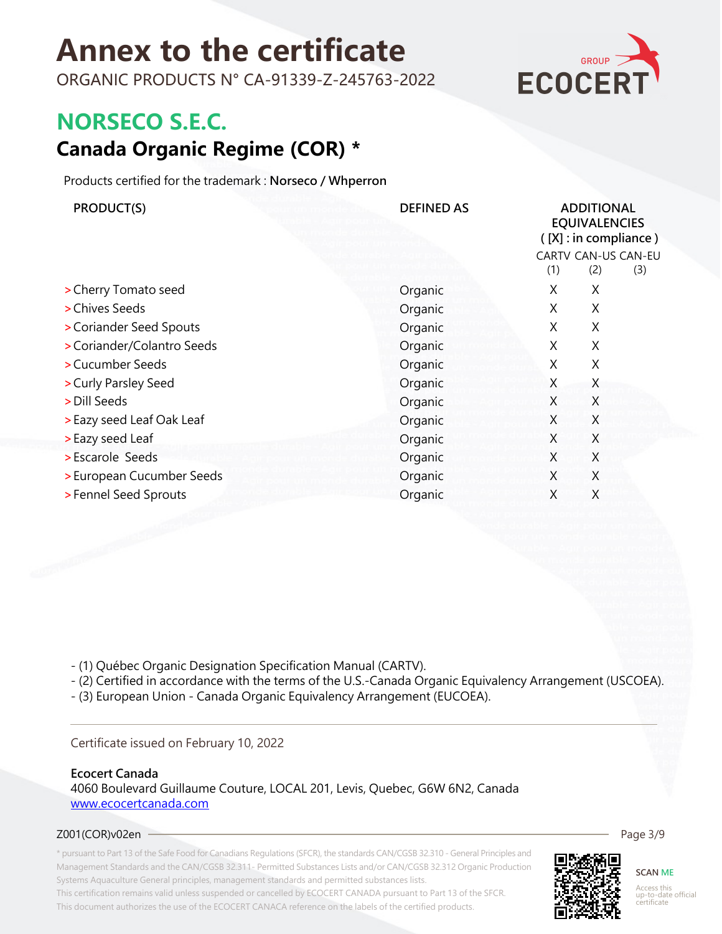ORGANIC PRODUCTS N° CA-91339-Z-245763-2022



### **NORSECO S.E.C.**

### **Canada Organic Regime (COR) \***

Products certified for the trademark : **Norseco / Whperron**

| PRODUCT(S)                 | <b>DEFINED AS</b> | <b>ADDITIONAL</b><br><b>EQUIVALENCIES</b><br>$([X]:$ in compliance)<br>CARTV CAN-US CAN-EU |            |  |
|----------------------------|-------------------|--------------------------------------------------------------------------------------------|------------|--|
|                            |                   | (1)                                                                                        | (2)<br>(3) |  |
| > Cherry Tomato seed       | Organic           | Χ                                                                                          | X          |  |
| > Chives Seeds             | Organic           | X                                                                                          | X          |  |
| > Coriander Seed Spouts    | Organic           | X                                                                                          | X          |  |
| > Coriander/Colantro Seeds | Organic           | X                                                                                          | X          |  |
| > Cucumber Seeds           | Organic           | X                                                                                          | X          |  |
| > Curly Parsley Seed       | Organic           | X                                                                                          | X          |  |
| > Dill Seeds               | Organic           | X                                                                                          | X          |  |
| > Eazy seed Leaf Oak Leaf  | Organic           | X                                                                                          | X          |  |
| > Eazy seed Leaf           | Organic           | X                                                                                          | X          |  |
| > Escarole Seeds           | Organic           | X.                                                                                         | X          |  |
| > European Cucumber Seeds  | Organic           | X                                                                                          | X          |  |
| > Fennel Seed Sprouts      | Organic           | X                                                                                          | X          |  |

- (1) Québec Organic Designation Specification Manual (CARTV).

- (2) Certified in accordance with the terms of the U.S.-Canada Organic Equivalency Arrangement (USCOEA).

- (3) European Union - Canada Organic Equivalency Arrangement (EUCOEA).

#### Certificate issued on February 10, 2022

#### **Ecocert Canada**

4060 Boulevard Guillaume Couture, LOCAL 201, Levis, Quebec, G6W 6N2, Canada <www.ecocertcanada.com>

#### Z001(COR)v02en

\* pursuant to Part 13 of the Safe Food for Canadians Regulations (SFCR), the standards CAN/CGSB 32.310 - General Principles and Management Standards and the CAN/CGSB 32.311- Permitted Substances Lists and/or CAN/CGSB 32.312 Organic Production Systems Aquaculture General principles, management standards and permitted substances lists. This certification remains valid unless suspended or cancelled by ECOCERT CANADA pursuant to Part 13 of the SFCR. This document authorizes the use of the ECOCERT CANACA reference on the labels of the certified products.



**SCAN ME** Access this up-to-date official certificate

Page 3/9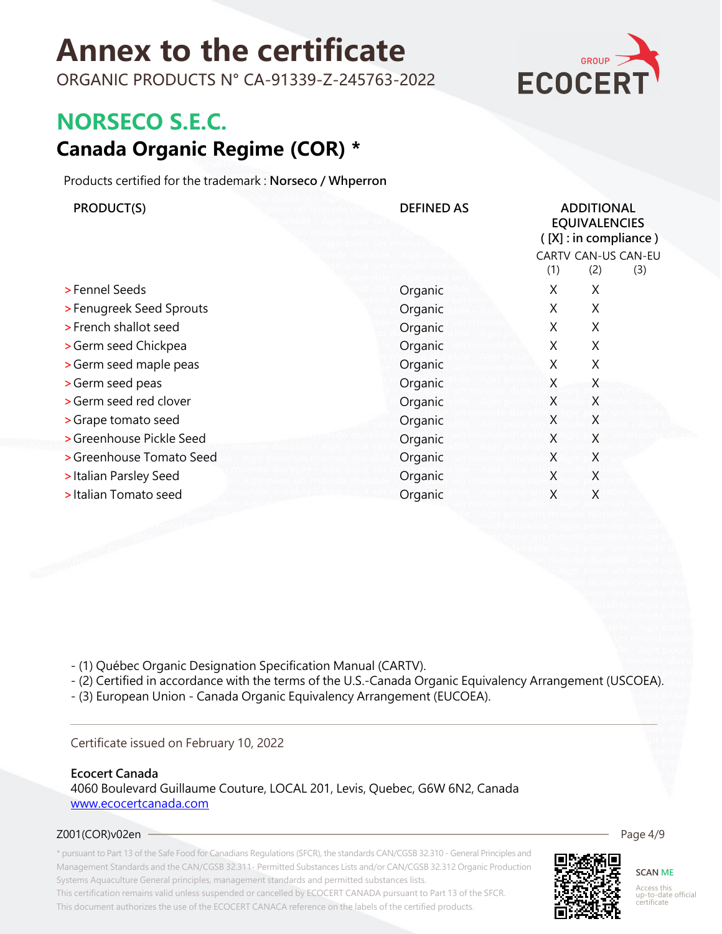ORGANIC PRODUCTS N° CA-91339-Z-245763-2022



### **NORSECO S.E.C.**

### **Canada Organic Regime (COR) \***

Products certified for the trademark : **Norseco / Whperron**

| PRODUCT(S)               | <b>DEFINED AS</b> | <b>ADDITIONAL</b><br><b>EQUIVALENCIES</b><br>$([X]:$ in compliance)<br>CARTV CAN-US CAN-EU<br>(1)<br>(2)<br>(3) |   |  |
|--------------------------|-------------------|-----------------------------------------------------------------------------------------------------------------|---|--|
| >Fennel Seeds            | Organic           | X                                                                                                               | X |  |
| > Fenugreek Seed Sprouts | Organic           | X                                                                                                               | X |  |
| > French shallot seed    | Organic           | X                                                                                                               | X |  |
| > Germ seed Chickpea     | Organic           | X                                                                                                               | X |  |
| > Germ seed maple peas   | Organic           | X                                                                                                               | X |  |
| > Germ seed peas         | Organic           | X                                                                                                               | X |  |
| > Germ seed red clover   | Organic           | X                                                                                                               | Χ |  |
| > Grape tomato seed      | Organic           | X                                                                                                               | X |  |
| > Greenhouse Pickle Seed | Organic           | X                                                                                                               | X |  |
| > Greenhouse Tomato Seed | Organic           | X                                                                                                               | X |  |
| > Italian Parsley Seed   | Organic           | X                                                                                                               | X |  |
| > Italian Tomato seed    | Organic           | X                                                                                                               | X |  |
|                          |                   |                                                                                                                 |   |  |

- (1) Québec Organic Designation Specification Manual (CARTV).

- (2) Certified in accordance with the terms of the U.S.-Canada Organic Equivalency Arrangement (USCOEA).

- (3) European Union - Canada Organic Equivalency Arrangement (EUCOEA).

#### Certificate issued on February 10, 2022

#### **Ecocert Canada**

4060 Boulevard Guillaume Couture, LOCAL 201, Levis, Quebec, G6W 6N2, Canada <www.ecocertcanada.com>

#### Z001(COR)v02en

\* pursuant to Part 13 of the Safe Food for Canadians Regulations (SFCR), the standards CAN/CGSB 32.310 - General Principles and Management Standards and the CAN/CGSB 32.311- Permitted Substances Lists and/or CAN/CGSB 32.312 Organic Production Systems Aquaculture General principles, management standards and permitted substances lists. This certification remains valid unless suspended or cancelled by ECOCERT CANADA pursuant to Part 13 of the SFCR. This document authorizes the use of the ECOCERT CANACA reference on the labels of the certified products.



Access this up-to-date official certificate

Page 4/9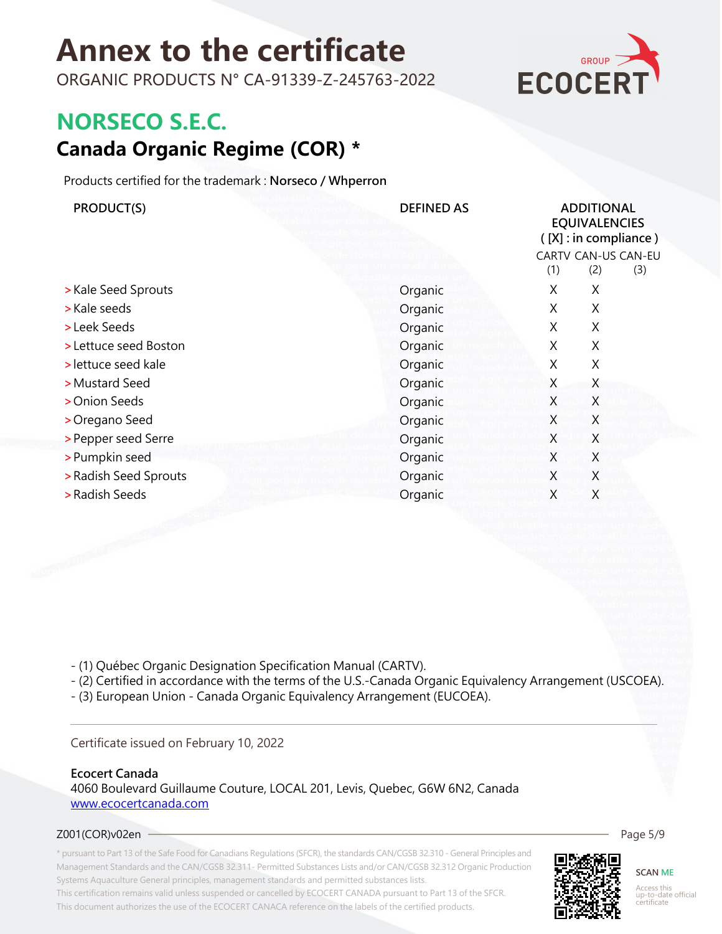ORGANIC PRODUCTS N° CA-91339-Z-245763-2022



### **NORSECO S.E.C.**

### **Canada Organic Regime (COR) \***

Products certified for the trademark : **Norseco / Whperron**

| PRODUCT(S)            | <b>DEFINED AS</b> | <b>ADDITIONAL</b><br><b>EQUIVALENCIES</b><br>([X]: in compliance)<br>CARTV CAN-US CAN-EU |            |  |
|-----------------------|-------------------|------------------------------------------------------------------------------------------|------------|--|
|                       |                   | (1)                                                                                      | (2)<br>(3) |  |
| > Kale Seed Sprouts   | Organic           | X                                                                                        | X          |  |
| > Kale seeds          | Organic           | X.                                                                                       | X          |  |
| > Leek Seeds          | Organic           | X.                                                                                       | X          |  |
| > Lettuce seed Boston | Organic           | X                                                                                        | X          |  |
| > lettuce seed kale   | Organic           | X                                                                                        | X          |  |
| > Mustard Seed        | Organic           | X                                                                                        | X          |  |
| > Onion Seeds         | Organic           | X                                                                                        | X          |  |
| > Oregano Seed        | Organic           | X                                                                                        | X          |  |
| > Pepper seed Serre   | Organic           | X                                                                                        | X          |  |
| > Pumpkin seed        | Organic           | X.                                                                                       | X          |  |
| > Radish Seed Sprouts | Organic           | X                                                                                        | X          |  |
| > Radish Seeds        | Organic           | X                                                                                        | X          |  |

- (1) Québec Organic Designation Specification Manual (CARTV).

- (2) Certified in accordance with the terms of the U.S.-Canada Organic Equivalency Arrangement (USCOEA).

- (3) European Union - Canada Organic Equivalency Arrangement (EUCOEA).

#### Certificate issued on February 10, 2022

#### **Ecocert Canada**

4060 Boulevard Guillaume Couture, LOCAL 201, Levis, Quebec, G6W 6N2, Canada <www.ecocertcanada.com>

#### Z001(COR)v02en

\* pursuant to Part 13 of the Safe Food for Canadians Regulations (SFCR), the standards CAN/CGSB 32.310 - General Principles and Management Standards and the CAN/CGSB 32.311- Permitted Substances Lists and/or CAN/CGSB 32.312 Organic Production Systems Aquaculture General principles, management standards and permitted substances lists. This certification remains valid unless suspended or cancelled by ECOCERT CANADA pursuant to Part 13 of the SFCR. This document authorizes the use of the ECOCERT CANACA reference on the labels of the certified products.



**SCAN ME** Access this up-to-date official certificate

Page 5/9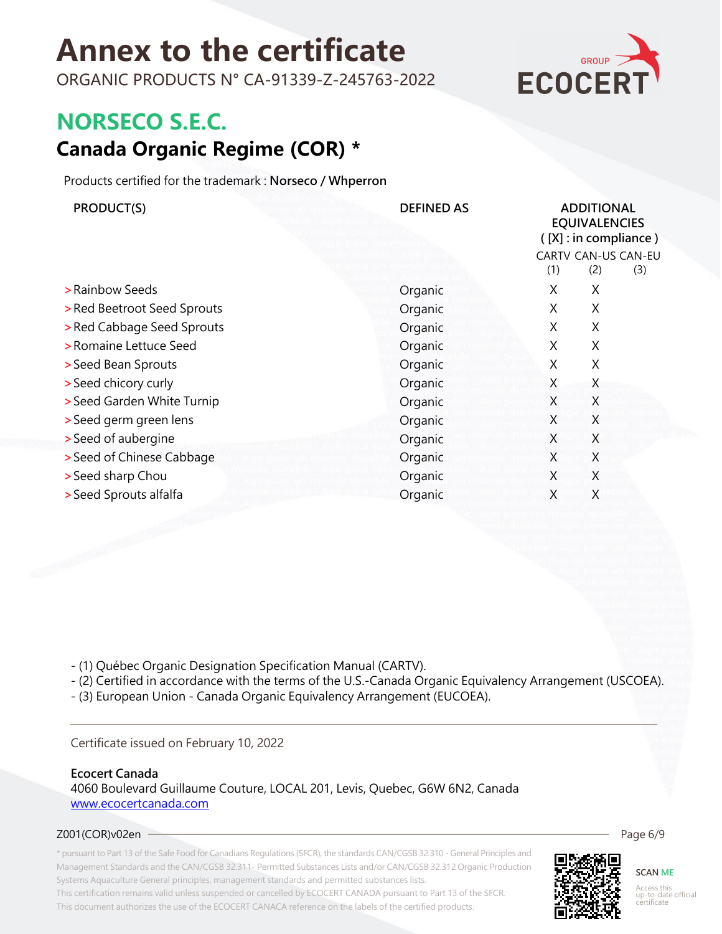ORGANIC PRODUCTS N° CA-91339-Z-245763-2022



### **NORSECO S.E.C.**

### **Canada Organic Regime (COR) \***

Products certified for the trademark : **Norseco / Whperron**

| PRODUCT(S)                  | <b>DEFINED AS</b> | <b>ADDITIONAL</b><br><b>EQUIVALENCIES</b><br>$([X]:$ in compliance)<br>CARTV CAN-US CAN-EU<br>(1)<br>(2)<br>(3) |   |  |
|-----------------------------|-------------------|-----------------------------------------------------------------------------------------------------------------|---|--|
| > Rainbow Seeds             | Organic           | X                                                                                                               | X |  |
| > Red Beetroot Seed Sprouts | Organic           | X                                                                                                               | X |  |
| > Red Cabbage Seed Sprouts  | Organic           | X                                                                                                               | Χ |  |
| > Romaine Lettuce Seed      | Organic           | X                                                                                                               | X |  |
| > Seed Bean Sprouts         | Organic           | X                                                                                                               | X |  |
| > Seed chicory curly        | Organic           | X                                                                                                               | X |  |
| > Seed Garden White Turnip  | Organic           | X                                                                                                               | Χ |  |
| > Seed germ green lens      | Organic           | X                                                                                                               | X |  |
| > Seed of aubergine         | Organic           | X                                                                                                               | X |  |
| > Seed of Chinese Cabbage   | Organic           | X                                                                                                               | X |  |
| > Seed sharp Chou           | Organic           | X                                                                                                               | X |  |
| > Seed Sprouts alfalfa      | Organic           | X                                                                                                               | X |  |
|                             |                   |                                                                                                                 |   |  |

- (1) Québec Organic Designation Specification Manual (CARTV).

- (2) Certified in accordance with the terms of the U.S.-Canada Organic Equivalency Arrangement (USCOEA).

- (3) European Union - Canada Organic Equivalency Arrangement (EUCOEA).

#### Certificate issued on February 10, 2022

#### **Ecocert Canada**

4060 Boulevard Guillaume Couture, LOCAL 201, Levis, Quebec, G6W 6N2, Canada <www.ecocertcanada.com>

#### Z001(COR)v02en

\* pursuant to Part 13 of the Safe Food for Canadians Regulations (SFCR), the standards CAN/CGSB 32.310 - General Principles and Management Standards and the CAN/CGSB 32.311- Permitted Substances Lists and/or CAN/CGSB 32.312 Organic Production Systems Aquaculture General principles, management standards and permitted substances lists. This certification remains valid unless suspended or cancelled by ECOCERT CANADA pursuant to Part 13 of the SFCR. This document authorizes the use of the ECOCERT CANACA reference on the labels of the certified products.



**SCAN ME** Access this up-to-date official certificate

Page 6/9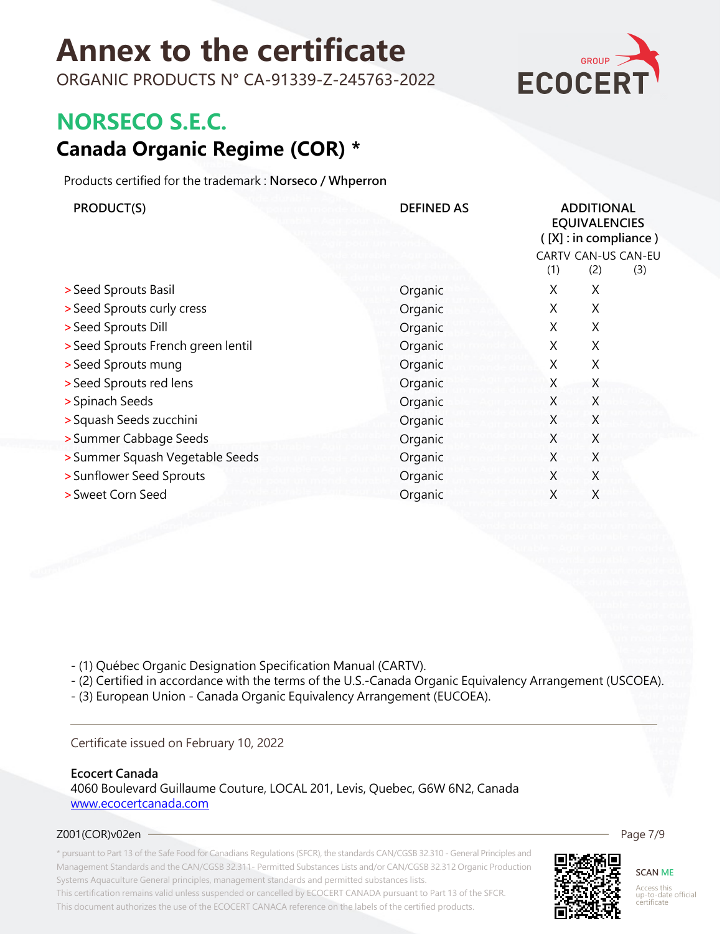ORGANIC PRODUCTS N° CA-91339-Z-245763-2022



### **NORSECO S.E.C.**

### **Canada Organic Regime (COR) \***

Products certified for the trademark : **Norseco / Whperron**

| PRODUCT(S)                         | <b>DEFINED AS</b> | <b>ADDITIONAL</b><br><b>EQUIVALENCIES</b><br>([X]: in compliance) |                                   |  |
|------------------------------------|-------------------|-------------------------------------------------------------------|-----------------------------------|--|
|                                    |                   | (1)                                                               | CARTV CAN-US CAN-EU<br>(2)<br>(3) |  |
| > Seed Sprouts Basil               | Organic           | X                                                                 | X                                 |  |
| > Seed Sprouts curly cress         | Organic           | X.                                                                | X                                 |  |
| > Seed Sprouts Dill                | Organic           | X                                                                 | X                                 |  |
| > Seed Sprouts French green lentil | Organic           | X                                                                 | X                                 |  |
| > Seed Sprouts mung                | Organic           | X                                                                 | Χ                                 |  |
| > Seed Sprouts red lens            | Organic           | X                                                                 | X                                 |  |
| > Spinach Seeds                    | Organic           | X                                                                 | X                                 |  |
| > Squash Seeds zucchini            | Organic           | X                                                                 | X                                 |  |
| > Summer Cabbage Seeds             | Organic           | X                                                                 | X                                 |  |
| > Summer Squash Vegetable Seeds    | Organic           | X                                                                 | X                                 |  |
| > Sunflower Seed Sprouts           | Organic           | X                                                                 | X                                 |  |
| > Sweet Corn Seed                  | Organic           | X                                                                 | X                                 |  |

- (1) Québec Organic Designation Specification Manual (CARTV).

- (2) Certified in accordance with the terms of the U.S.-Canada Organic Equivalency Arrangement (USCOEA).

- (3) European Union - Canada Organic Equivalency Arrangement (EUCOEA).

#### Certificate issued on February 10, 2022

#### **Ecocert Canada**

4060 Boulevard Guillaume Couture, LOCAL 201, Levis, Quebec, G6W 6N2, Canada <www.ecocertcanada.com>

#### Z001(COR)v02en

\* pursuant to Part 13 of the Safe Food for Canadians Regulations (SFCR), the standards CAN/CGSB 32.310 - General Principles and Management Standards and the CAN/CGSB 32.311- Permitted Substances Lists and/or CAN/CGSB 32.312 Organic Production Systems Aquaculture General principles, management standards and permitted substances lists. This certification remains valid unless suspended or cancelled by ECOCERT CANADA pursuant to Part 13 of the SFCR. This document authorizes the use of the ECOCERT CANACA reference on the labels of the certified products.



#### **SCAN ME** Access this up-to-date official certificate

Page 7/9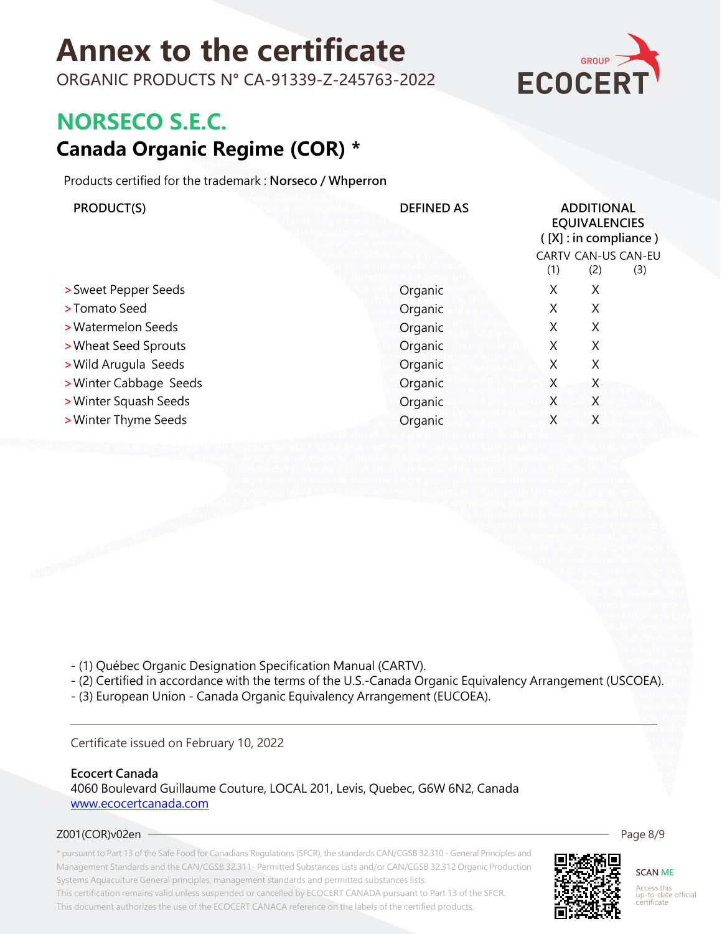ORGANIC PRODUCTS N° CA-91339-Z-245763-2022



### **NORSECO S.E.C.**

### **Canada Organic Regime (COR) \***

Products certified for the trademark : **Norseco / Whperron**

| PRODUCT(S)             | <b>DEFINED AS</b> | <b>ADDITIONAL</b><br><b>EQUIVALENCIES</b><br>$([X]:$ in compliance) |     |                            |
|------------------------|-------------------|---------------------------------------------------------------------|-----|----------------------------|
|                        |                   | (1)                                                                 | (2) | CARTV CAN-US CAN-EU<br>(3) |
| > Sweet Pepper Seeds   | Organic           | X                                                                   | X   |                            |
| >Tomato Seed           | Organic           | X                                                                   | X   |                            |
| > Watermelon Seeds     | Organic           | X                                                                   | X   |                            |
| > Wheat Seed Sprouts   | Organic           | X                                                                   | X   |                            |
| > Wild Arugula Seeds   | Organic           | X                                                                   | X   |                            |
| > Winter Cabbage Seeds | Organic           | X                                                                   | X   |                            |
| > Winter Squash Seeds  | Organic           | X                                                                   | X   |                            |
| > Winter Thyme Seeds   | Organic           | X                                                                   | X   |                            |

- (1) Québec Organic Designation Specification Manual (CARTV).
- (2) Certified in accordance with the terms of the U.S.-Canada Organic Equivalency Arrangement (USCOEA).
- (3) European Union Canada Organic Equivalency Arrangement (EUCOEA).

Certificate issued on February 10, 2022

#### **Ecocert Canada**

4060 Boulevard Guillaume Couture, LOCAL 201, Levis, Quebec, G6W 6N2, Canada <www.ecocertcanada.com>

#### Z001(COR)v02en

\* pursuant to Part 13 of the Safe Food for Canadians Regulations (SFCR), the standards CAN/CGSB 32.310 - General Principles and Management Standards and the CAN/CGSB 32.311- Permitted Substances Lists and/or CAN/CGSB 32.312 Organic Production Systems Aquaculture General principles, management standards and permitted substances lists. This certification remains valid unless suspended or cancelled by ECOCERT CANADA pursuant to Part 13 of the SFCR. This document authorizes the use of the ECOCERT CANACA reference on the labels of the certified products.



**SCAN ME** Access this up-to-date official certificate

Page 8/9